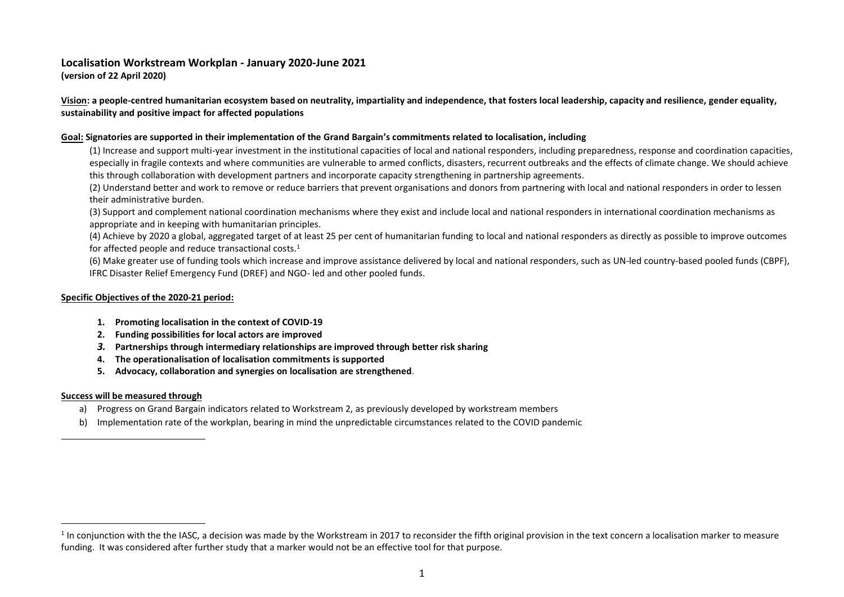# **Localisation Workstream Workplan - January 2020-June 2021**

**(version of 22 April 2020)**

**Vision: a people-centred humanitarian ecosystem based on neutrality, impartiality and independence, that fosters local leadership, capacity and resilience, gender equality, sustainability and positive impact for affected populations**

#### **Goal: Signatories are supported in their implementation of the Grand Bargain's commitments related to localisation, including**

(1) Increase and support multi-year investment in the institutional capacities of local and national responders, including preparedness, response and coordination capacities, especially in fragile contexts and where communities are vulnerable to armed conflicts, disasters, recurrent outbreaks and the effects of climate change. We should achieve this through collaboration with development partners and incorporate capacity strengthening in partnership agreements.

(2) Understand better and work to remove or reduce barriers that prevent organisations and donors from partnering with local and national responders in order to lessen their administrative burden.

(3) Support and complement national coordination mechanisms where they exist and include local and national responders in international coordination mechanisms as appropriate and in keeping with humanitarian principles.

(4) Achieve by 2020 a global, aggregated target of at least 25 per cent of humanitarian funding to local and national responders as directly as possible to improve outcomes for affected people and reduce transactional costs.<sup>1</sup>

(6) Make greater use of funding tools which increase and improve assistance delivered by local and national responders, such as UN-led country-based pooled funds (CBPF), IFRC Disaster Relief Emergency Fund (DREF) and NGO- led and other pooled funds.

## **Specific Objectives of the 2020-21 period:**

- **1. Promoting localisation in the context of COVID-19**
- **2. Funding possibilities for local actors are improved**
- *3.* **Partnerships through intermediary relationships are improved through better risk sharing**
- **4. The operationalisation of localisation commitments is supported**
- **5. Advocacy, collaboration and synergies on localisation are strengthened**.

## **Success will be measured through**

- a) Progress on Grand Bargain indicators related to Workstream 2, as previously developed by workstream members
- b) Implementation rate of the workplan, bearing in mind the unpredictable circumstances related to the COVID pandemic

<sup>&</sup>lt;sup>1</sup> In conjunction with the the IASC, a decision was made by the Workstream in 2017 to reconsider the fifth original provision in the text concern a localisation marker to measure funding. It was considered after further study that a marker would not be an effective tool for that purpose.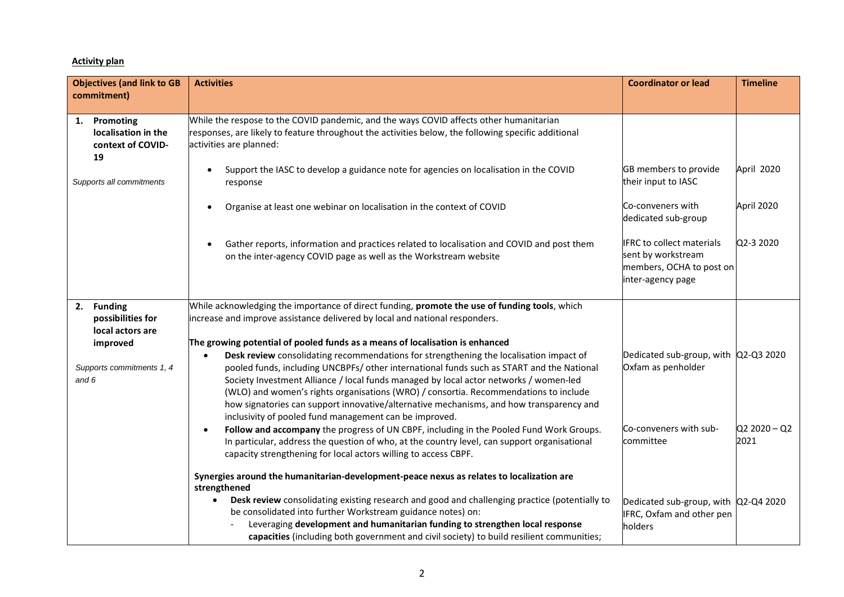#### **Activity plan**

| <b>Objectives (and link to GB</b>                              | <b>Activities</b>                                                                                                                                                                                                                                                                                                                                                                                                                                                                                                                                                                                                      | <b>Coordinator or lead</b>                                                                              | <b>Timeline</b>        |
|----------------------------------------------------------------|------------------------------------------------------------------------------------------------------------------------------------------------------------------------------------------------------------------------------------------------------------------------------------------------------------------------------------------------------------------------------------------------------------------------------------------------------------------------------------------------------------------------------------------------------------------------------------------------------------------------|---------------------------------------------------------------------------------------------------------|------------------------|
| commitment)                                                    |                                                                                                                                                                                                                                                                                                                                                                                                                                                                                                                                                                                                                        |                                                                                                         |                        |
| 1. Promoting<br>localisation in the<br>context of COVID-<br>19 | While the respose to the COVID pandemic, and the ways COVID affects other humanitarian<br>responses, are likely to feature throughout the activities below, the following specific additional<br>activities are planned:                                                                                                                                                                                                                                                                                                                                                                                               |                                                                                                         |                        |
| Supports all commitments                                       | Support the IASC to develop a guidance note for agencies on localisation in the COVID<br>$\bullet$<br>response                                                                                                                                                                                                                                                                                                                                                                                                                                                                                                         | GB members to provide<br>their input to IASC                                                            | April 2020             |
|                                                                | Organise at least one webinar on localisation in the context of COVID<br>$\bullet$                                                                                                                                                                                                                                                                                                                                                                                                                                                                                                                                     | Co-conveners with<br>dedicated sub-group                                                                | April 2020             |
|                                                                | Gather reports, information and practices related to localisation and COVID and post them<br>$\bullet$<br>on the inter-agency COVID page as well as the Workstream website                                                                                                                                                                                                                                                                                                                                                                                                                                             | <b>IFRC</b> to collect materials<br>sent by workstream<br>members, OCHA to post on<br>inter-agency page | Q2-3 2020              |
| 2. Funding<br>possibilities for<br>local actors are            | While acknowledging the importance of direct funding, promote the use of funding tools, which<br>increase and improve assistance delivered by local and national responders.                                                                                                                                                                                                                                                                                                                                                                                                                                           |                                                                                                         |                        |
| improved<br>Supports commitments 1, 4<br>and 6                 | The growing potential of pooled funds as a means of localisation is enhanced<br>Desk review consolidating recommendations for strengthening the localisation impact of<br>$\bullet$<br>pooled funds, including UNCBPFs/ other international funds such as START and the National<br>Society Investment Alliance / local funds managed by local actor networks / women-led<br>(WLO) and women's rights organisations (WRO) / consortia. Recommendations to include<br>how signatories can support innovative/alternative mechanisms, and how transparency and<br>inclusivity of pooled fund management can be improved. | Dedicated sub-group, with Q2-Q3 2020<br>Oxfam as penholder                                              |                        |
|                                                                | Follow and accompany the progress of UN CBPF, including in the Pooled Fund Work Groups.<br>$\bullet$<br>In particular, address the question of who, at the country level, can support organisational<br>capacity strengthening for local actors willing to access CBPF.                                                                                                                                                                                                                                                                                                                                                | Co-conveners with sub-<br>committee                                                                     | $Q2 2020 - Q2$<br>2021 |
|                                                                | Synergies around the humanitarian-development-peace nexus as relates to localization are<br>strengthened<br>Desk review consolidating existing research and good and challenging practice (potentially to<br>be consolidated into further Workstream guidance notes) on:<br>Leveraging development and humanitarian funding to strengthen local response<br>capacities (including both government and civil society) to build resilient communities;                                                                                                                                                                   | Dedicated sub-group, with Q2-Q4 2020<br>IFRC, Oxfam and other pen<br>holders                            |                        |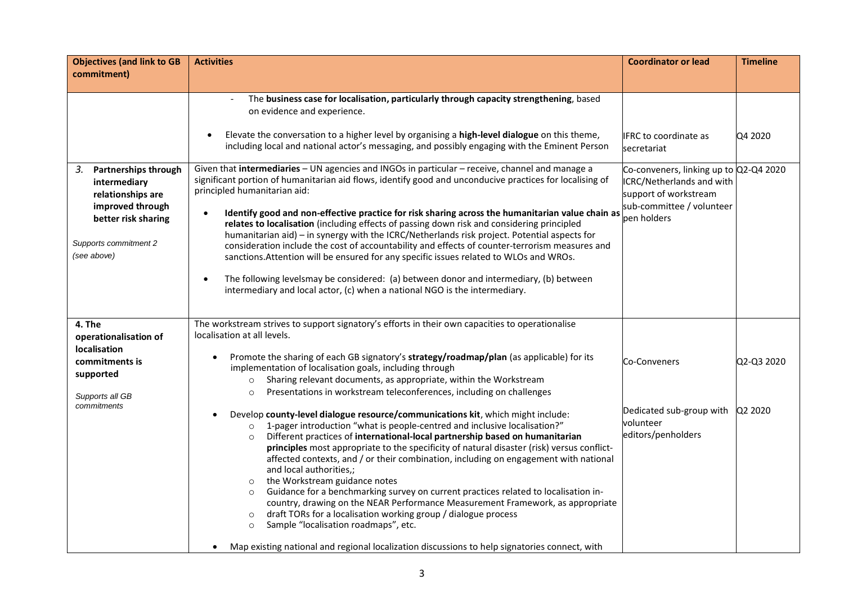| <b>Objectives (and link to GB</b>                                                                                                                  | <b>Activities</b>                                                                                                                                                                                                                                                                                                                                                                                                                                                                                                                                                                                                                                                                                                                                                                                                                                                                                                                                    | <b>Coordinator or lead</b>                                                                                                                      | <b>Timeline</b> |
|----------------------------------------------------------------------------------------------------------------------------------------------------|------------------------------------------------------------------------------------------------------------------------------------------------------------------------------------------------------------------------------------------------------------------------------------------------------------------------------------------------------------------------------------------------------------------------------------------------------------------------------------------------------------------------------------------------------------------------------------------------------------------------------------------------------------------------------------------------------------------------------------------------------------------------------------------------------------------------------------------------------------------------------------------------------------------------------------------------------|-------------------------------------------------------------------------------------------------------------------------------------------------|-----------------|
| commitment)                                                                                                                                        |                                                                                                                                                                                                                                                                                                                                                                                                                                                                                                                                                                                                                                                                                                                                                                                                                                                                                                                                                      |                                                                                                                                                 |                 |
|                                                                                                                                                    | The business case for localisation, particularly through capacity strengthening, based<br>on evidence and experience.<br>Elevate the conversation to a higher level by organising a high-level dialogue on this theme,<br>$\bullet$<br>including local and national actor's messaging, and possibly engaging with the Eminent Person                                                                                                                                                                                                                                                                                                                                                                                                                                                                                                                                                                                                                 | <b>IFRC</b> to coordinate as<br>secretariat                                                                                                     | Q4 2020         |
| Partnerships through<br>3.<br>intermediary<br>relationships are<br>improved through<br>better risk sharing<br>Supports commitment 2<br>(see above) | Given that intermediaries - UN agencies and INGOs in particular - receive, channel and manage a<br>significant portion of humanitarian aid flows, identify good and unconducive practices for localising of<br>principled humanitarian aid:<br>Identify good and non-effective practice for risk sharing across the humanitarian value chain as<br>relates to localisation (including effects of passing down risk and considering principled<br>humanitarian aid) - in synergy with the ICRC/Netherlands risk project. Potential aspects for<br>consideration include the cost of accountability and effects of counter-terrorism measures and<br>sanctions. Attention will be ensured for any specific issues related to WLOs and WROs.<br>The following levelsmay be considered: (a) between donor and intermediary, (b) between<br>$\bullet$<br>intermediary and local actor, (c) when a national NGO is the intermediary.                       | Co-conveners, linking up to Q2-Q4 2020<br><b>ICRC/Netherlands and with</b><br>support of workstream<br>sub-committee / volunteer<br>pen holders |                 |
| 4. The                                                                                                                                             | The workstream strives to support signatory's efforts in their own capacities to operationalise                                                                                                                                                                                                                                                                                                                                                                                                                                                                                                                                                                                                                                                                                                                                                                                                                                                      |                                                                                                                                                 |                 |
| operationalisation of<br><b>localisation</b><br>commitments is<br>supported<br>Supports all GB                                                     | localisation at all levels.<br>Promote the sharing of each GB signatory's strategy/roadmap/plan (as applicable) for its<br>implementation of localisation goals, including through<br>Sharing relevant documents, as appropriate, within the Workstream<br>$\circ$<br>Presentations in workstream teleconferences, including on challenges<br>$\circ$                                                                                                                                                                                                                                                                                                                                                                                                                                                                                                                                                                                                | Co-Conveners                                                                                                                                    | Q2-Q3 2020      |
| commitments                                                                                                                                        | Develop county-level dialogue resource/communications kit, which might include:<br>1-pager introduction "what is people-centred and inclusive localisation?"<br>$\circ$<br>Different practices of international-local partnership based on humanitarian<br>$\circ$<br>principles most appropriate to the specificity of natural disaster (risk) versus conflict-<br>affected contexts, and / or their combination, including on engagement with national<br>and local authorities,;<br>the Workstream guidance notes<br>$\circ$<br>Guidance for a benchmarking survey on current practices related to localisation in-<br>$\circ$<br>country, drawing on the NEAR Performance Measurement Framework, as appropriate<br>draft TORs for a localisation working group / dialogue process<br>$\circ$<br>Sample "localisation roadmaps", etc.<br>$\circ$<br>Map existing national and regional localization discussions to help signatories connect, with | Dedicated sub-group with<br>volunteer<br>editors/penholders                                                                                     | Q2 2020         |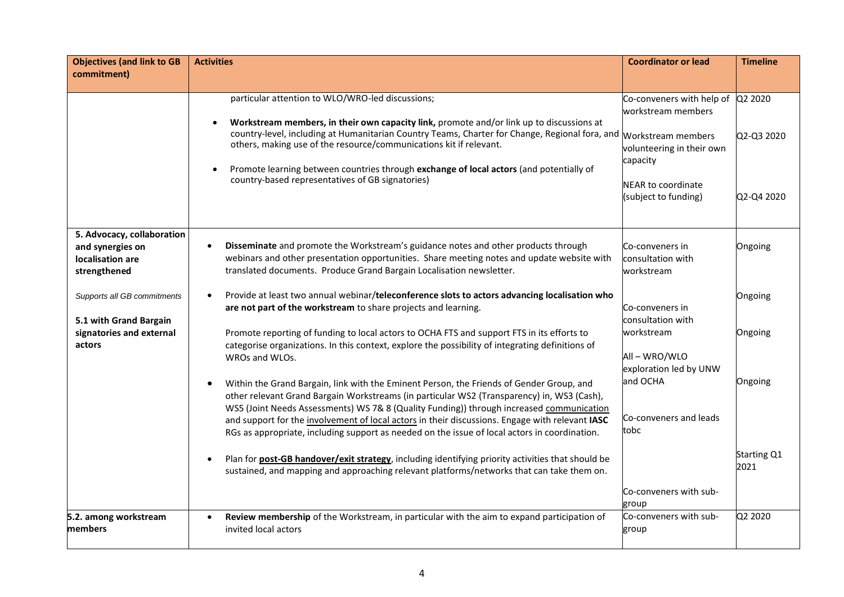| <b>Objectives (and link to GB</b><br>commitment)                                            | <b>Activities</b>                                                                                                                                                                                                                                                                                                                                                                                                                                                                                                                                                                                                                                                                                                  | <b>Coordinator or lead</b>                                                                                                                            | <b>Timeline</b>                |
|---------------------------------------------------------------------------------------------|--------------------------------------------------------------------------------------------------------------------------------------------------------------------------------------------------------------------------------------------------------------------------------------------------------------------------------------------------------------------------------------------------------------------------------------------------------------------------------------------------------------------------------------------------------------------------------------------------------------------------------------------------------------------------------------------------------------------|-------------------------------------------------------------------------------------------------------------------------------------------------------|--------------------------------|
|                                                                                             |                                                                                                                                                                                                                                                                                                                                                                                                                                                                                                                                                                                                                                                                                                                    |                                                                                                                                                       |                                |
|                                                                                             | particular attention to WLO/WRO-led discussions;<br>Workstream members, in their own capacity link, promote and/or link up to discussions at<br>country-level, including at Humanitarian Country Teams, Charter for Change, Regional fora, and Morkstream members<br>others, making use of the resource/communications kit if relevant.<br>Promote learning between countries through exchange of local actors (and potentially of<br>country-based representatives of GB signatories)                                                                                                                                                                                                                             | Co-conveners with help of Q2 2020<br>workstream members<br>volunteering in their own<br>capacity<br><b>NEAR to coordinate</b><br>(subject to funding) | Q2-Q3 2020<br>Q2-Q4 2020       |
| 5. Advocacy, collaboration<br>and synergies on<br>localisation are<br>strengthened          | Disseminate and promote the Workstream's guidance notes and other products through<br>$\bullet$<br>webinars and other presentation opportunities. Share meeting notes and update website with<br>translated documents. Produce Grand Bargain Localisation newsletter.                                                                                                                                                                                                                                                                                                                                                                                                                                              | Co-conveners in<br>consultation with<br>workstream                                                                                                    | Ongoing                        |
| Supports all GB commitments<br>5.1 with Grand Bargain<br>signatories and external<br>actors | Provide at least two annual webinar/teleconference slots to actors advancing localisation who<br>$\bullet$<br>are not part of the workstream to share projects and learning.<br>Promote reporting of funding to local actors to OCHA FTS and support FTS in its efforts to<br>categorise organizations. In this context, explore the possibility of integrating definitions of<br>WROs and WLOs.                                                                                                                                                                                                                                                                                                                   | Co-conveners in<br>consultation with<br>workstream<br>All-WRO/WLO                                                                                     | Ongoing<br>Ongoing             |
|                                                                                             | Within the Grand Bargain, link with the Eminent Person, the Friends of Gender Group, and<br>$\bullet$<br>other relevant Grand Bargain Workstreams (in particular WS2 (Transparency) in, WS3 (Cash),<br>WS5 (Joint Needs Assessments) WS 7& 8 (Quality Funding)) through increased communication<br>and support for the involvement of local actors in their discussions. Engage with relevant IASC<br>RGs as appropriate, including support as needed on the issue of local actors in coordination.<br>Plan for post-GB handover/exit strategy, including identifying priority activities that should be<br>$\bullet$<br>sustained, and mapping and approaching relevant platforms/networks that can take them on. | exploration led by UNW<br>and OCHA<br>Co-conveners and leads<br>tobc                                                                                  | Ongoing<br>Starting Q1<br>2021 |
| 5.2. among workstream                                                                       | Review membership of the Workstream, in particular with the aim to expand participation of<br>$\bullet$                                                                                                                                                                                                                                                                                                                                                                                                                                                                                                                                                                                                            | Co-conveners with sub-<br>group<br>Co-conveners with sub-                                                                                             | Q2 2020                        |
| members                                                                                     | invited local actors                                                                                                                                                                                                                                                                                                                                                                                                                                                                                                                                                                                                                                                                                               | group                                                                                                                                                 |                                |